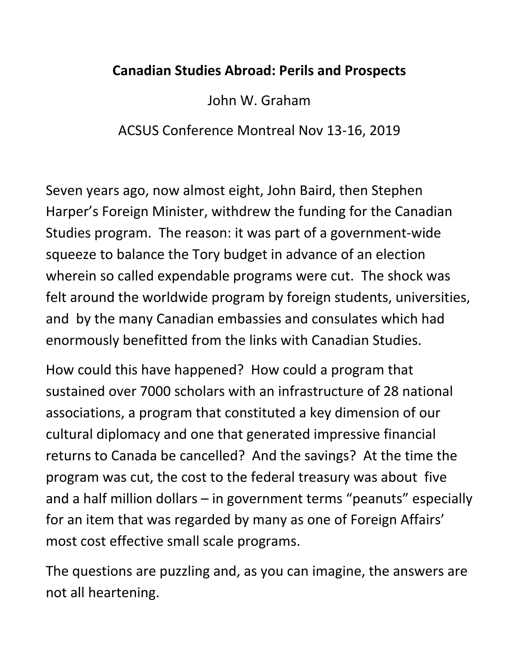## **Canadian Studies Abroad: Perils and Prospects**

John W. Graham

ACSUS Conference Montreal Nov 13-16, 2019

Seven years ago, now almost eight, John Baird, then Stephen Harper's Foreign Minister, withdrew the funding for the Canadian Studies program. The reason: it was part of a government-wide squeeze to balance the Tory budget in advance of an election wherein so called expendable programs were cut. The shock was felt around the worldwide program by foreign students, universities, and by the many Canadian embassies and consulates which had enormously benefitted from the links with Canadian Studies.

How could this have happened? How could a program that sustained over 7000 scholars with an infrastructure of 28 national associations, a program that constituted a key dimension of our cultural diplomacy and one that generated impressive financial returns to Canada be cancelled? And the savings? At the time the program was cut, the cost to the federal treasury was about five and a half million dollars – in government terms "peanuts" especially for an item that was regarded by many as one of Foreign Affairs' most cost effective small scale programs.

The questions are puzzling and, as you can imagine, the answers are not all heartening.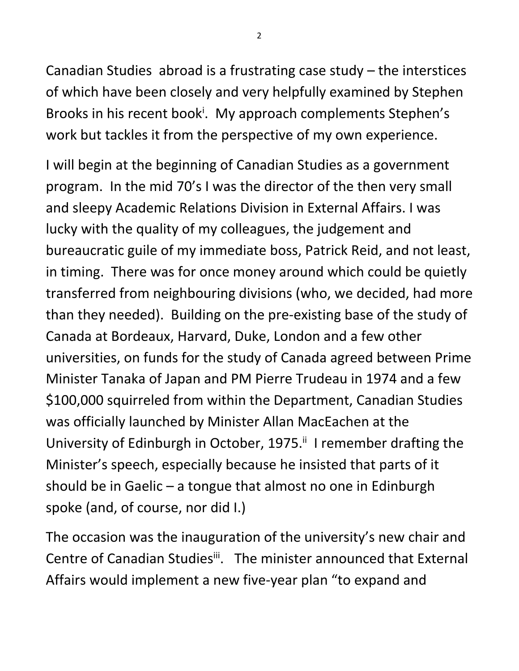Canadian Studies abroad is a frustrating case study – the interstices of which have been closely and very helpfully examined by Stephen Brooks in his recent book<sup>i</sup>. My approach complements Stephen's work but tackles it from the perspective of my own experience.

I will begin at the beginning of Canadian Studies as a government program. In the mid 70's I was the director of the then very small and sleepy Academic Relations Division in External Affairs. I was lucky with the quality of my colleagues, the judgement and bureaucratic guile of my immediate boss, Patrick Reid, and not least, in timing. There was for once money around which could be quietly transferred from neighbouring divisions (who, we decided, had more than they needed). Building on the pre-existing base of the study of Canada at Bordeaux, Harvard, Duke, London and a few other universities, on funds for the study of Canada agreed between Prime Minister Tanaka of Japan and PM Pierre Trudeau in 1974 and a few \$100,000 squirreled from within the Department, Canadian Studies was officially launched by Minister Allan MacEachen at the University of Edinburgh in October, 1975.<sup>ii</sup> I remember drafting the Minister's speech, especially because he insisted that parts of it should be in Gaelic – a tongue that almost no one in Edinburgh spoke (and, of course, nor did I.)

The occasion was the inauguration of the university's new chair and Centre of Canadian Studies<sup>ii</sup>. The minister announced that External Affairs would implement a new five-year plan "to expand and

2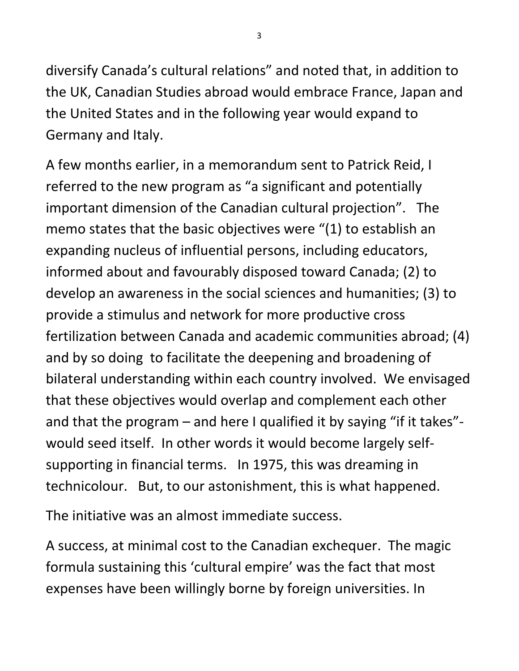diversify Canada's cultural relations" and noted that, in addition to the UK, Canadian Studies abroad would embrace France, Japan and the United States and in the following year would expand to Germany and Italy.

A few months earlier, in a memorandum sent to Patrick Reid, I referred to the new program as "a significant and potentially important dimension of the Canadian cultural projection". The memo states that the basic objectives were "(1) to establish an expanding nucleus of influential persons, including educators, informed about and favourably disposed toward Canada; (2) to develop an awareness in the social sciences and humanities; (3) to provide a stimulus and network for more productive cross fertilization between Canada and academic communities abroad; (4) and by so doing to facilitate the deepening and broadening of bilateral understanding within each country involved. We envisaged that these objectives would overlap and complement each other and that the program – and here I qualified it by saying "if it takes" would seed itself. In other words it would become largely selfsupporting in financial terms. In 1975, this was dreaming in technicolour. But, to our astonishment, this is what happened.

The initiative was an almost immediate success.

A success, at minimal cost to the Canadian exchequer. The magic formula sustaining this 'cultural empire' was the fact that most expenses have been willingly borne by foreign universities. In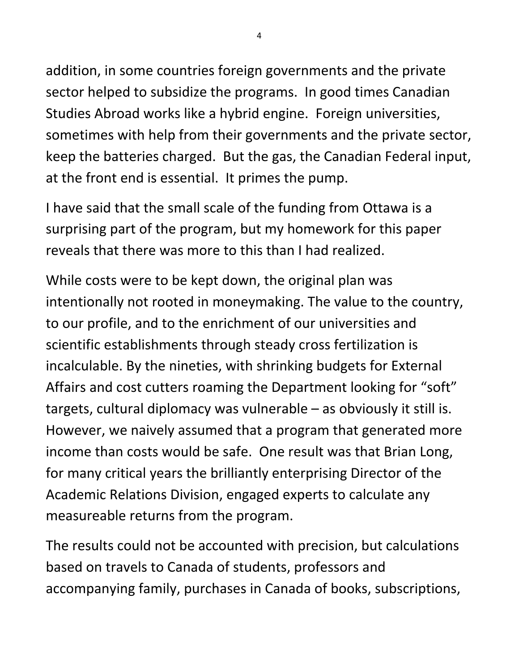addition, in some countries foreign governments and the private sector helped to subsidize the programs. In good times Canadian Studies Abroad works like a hybrid engine. Foreign universities, sometimes with help from their governments and the private sector, keep the batteries charged. But the gas, the Canadian Federal input, at the front end is essential. It primes the pump.

I have said that the small scale of the funding from Ottawa is a surprising part of the program, but my homework for this paper reveals that there was more to this than I had realized.

While costs were to be kept down, the original plan was intentionally not rooted in moneymaking. The value to the country, to our profile, and to the enrichment of our universities and scientific establishments through steady cross fertilization is incalculable. By the nineties, with shrinking budgets for External Affairs and cost cutters roaming the Department looking for "soft" targets, cultural diplomacy was vulnerable – as obviously it still is. However, we naively assumed that a program that generated more income than costs would be safe. One result was that Brian Long, for many critical years the brilliantly enterprising Director of the Academic Relations Division, engaged experts to calculate any measureable returns from the program.

The results could not be accounted with precision, but calculations based on travels to Canada of students, professors and accompanying family, purchases in Canada of books, subscriptions,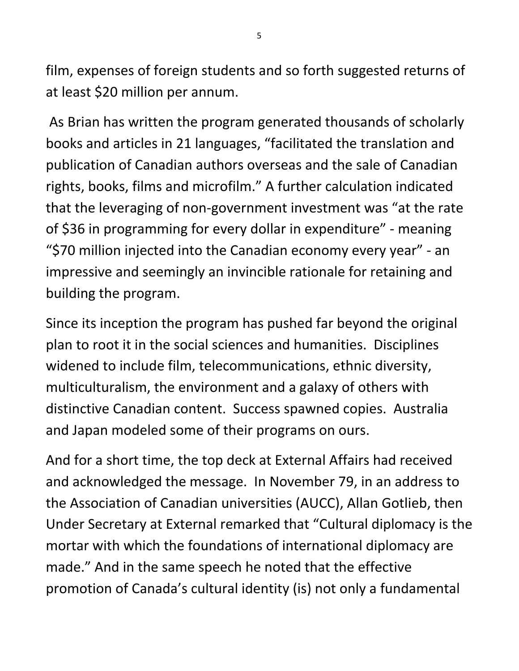film, expenses of foreign students and so forth suggested returns of at least \$20 million per annum.

As Brian has written the program generated thousands of scholarly books and articles in 21 languages, "facilitated the translation and publication of Canadian authors overseas and the sale of Canadian rights, books, films and microfilm." A further calculation indicated that the leveraging of non-government investment was "at the rate of \$36 in programming for every dollar in expenditure" - meaning "\$70 million injected into the Canadian economy every year" - an impressive and seemingly an invincible rationale for retaining and building the program.

Since its inception the program has pushed far beyond the original plan to root it in the social sciences and humanities. Disciplines widened to include film, telecommunications, ethnic diversity, multiculturalism, the environment and a galaxy of others with distinctive Canadian content. Success spawned copies. Australia and Japan modeled some of their programs on ours.

And for a short time, the top deck at External Affairs had received and acknowledged the message. In November 79, in an address to the Association of Canadian universities (AUCC), Allan Gotlieb, then Under Secretary at External remarked that "Cultural diplomacy is the mortar with which the foundations of international diplomacy are made." And in the same speech he noted that the effective promotion of Canada's cultural identity (is) not only a fundamental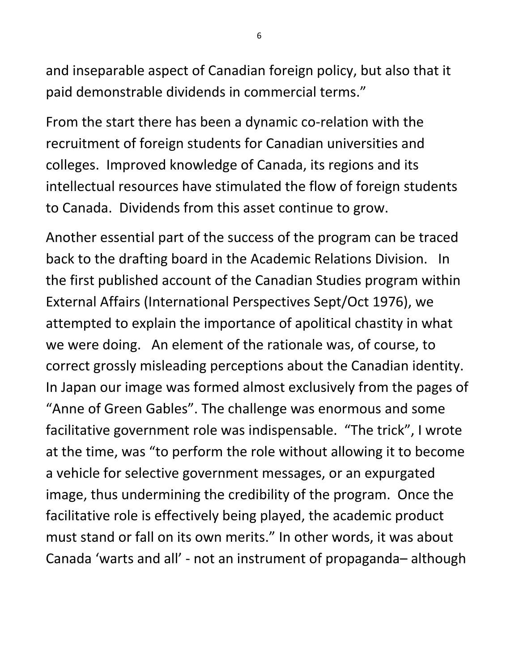and inseparable aspect of Canadian foreign policy, but also that it paid demonstrable dividends in commercial terms."

From the start there has been a dynamic co-relation with the recruitment of foreign students for Canadian universities and colleges. Improved knowledge of Canada, its regions and its intellectual resources have stimulated the flow of foreign students to Canada. Dividends from this asset continue to grow.

Another essential part of the success of the program can be traced back to the drafting board in the Academic Relations Division. In the first published account of the Canadian Studies program within External Affairs (International Perspectives Sept/Oct 1976), we attempted to explain the importance of apolitical chastity in what we were doing. An element of the rationale was, of course, to correct grossly misleading perceptions about the Canadian identity. In Japan our image was formed almost exclusively from the pages of "Anne of Green Gables". The challenge was enormous and some facilitative government role was indispensable. "The trick", I wrote at the time, was "to perform the role without allowing it to become a vehicle for selective government messages, or an expurgated image, thus undermining the credibility of the program. Once the facilitative role is effectively being played, the academic product must stand or fall on its own merits." In other words, it was about Canada 'warts and all' - not an instrument of propaganda– although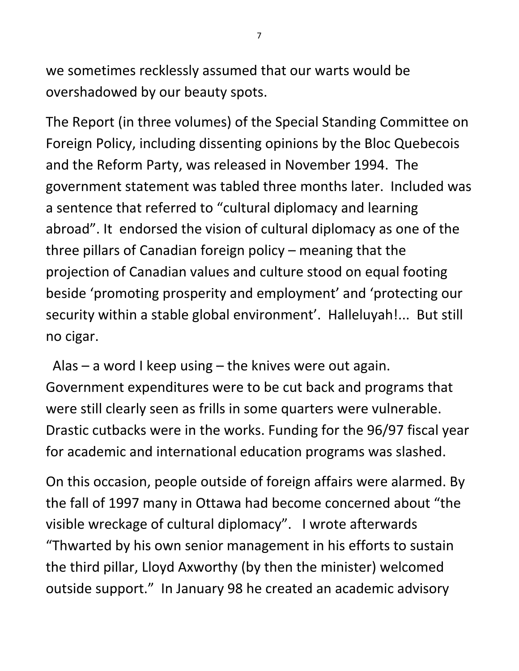we sometimes recklessly assumed that our warts would be overshadowed by our beauty spots.

The Report (in three volumes) of the Special Standing Committee on Foreign Policy, including dissenting opinions by the Bloc Quebecois and the Reform Party, was released in November 1994. The government statement was tabled three months later. Included was a sentence that referred to "cultural diplomacy and learning abroad". It endorsed the vision of cultural diplomacy as one of the three pillars of Canadian foreign policy – meaning that the projection of Canadian values and culture stood on equal footing beside 'promoting prosperity and employment' and 'protecting our security within a stable global environment'. Halleluyah!... But still no cigar.

Alas – a word I keep using – the knives were out again. Government expenditures were to be cut back and programs that were still clearly seen as frills in some quarters were vulnerable. Drastic cutbacks were in the works. Funding for the 96/97 fiscal year for academic and international education programs was slashed.

On this occasion, people outside of foreign affairs were alarmed. By the fall of 1997 many in Ottawa had become concerned about "the visible wreckage of cultural diplomacy". I wrote afterwards "Thwarted by his own senior management in his efforts to sustain the third pillar, Lloyd Axworthy (by then the minister) welcomed outside support." In January 98 he created an academic advisory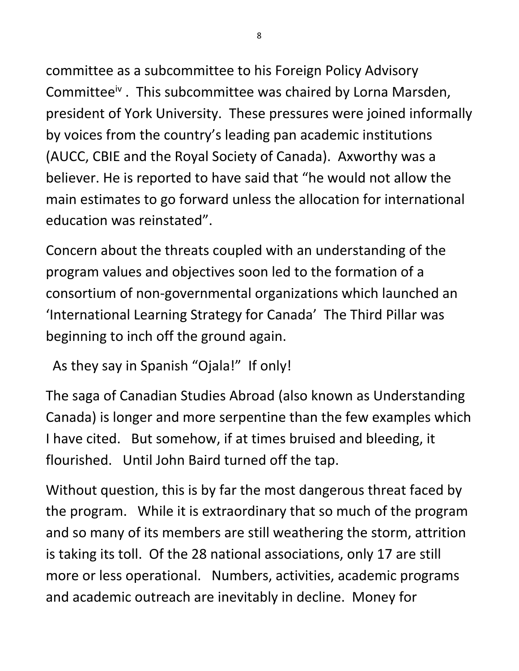committee as a subcommittee to his Foreign Policy Advisory Committee<sup>iv</sup>. This subcommittee was chaired by Lorna Marsden, president of York University. These pressures were joined informally by voices from the country's leading pan academic institutions (AUCC, CBIE and the Royal Society of Canada). Axworthy was a believer. He is reported to have said that "he would not allow the main estimates to go forward unless the allocation for international education was reinstated".

Concern about the threats coupled with an understanding of the program values and objectives soon led to the formation of a consortium of non-governmental organizations which launched an 'International Learning Strategy for Canada' The Third Pillar was beginning to inch off the ground again.

As they say in Spanish "Ojala!" If only!

The saga of Canadian Studies Abroad (also known as Understanding Canada) is longer and more serpentine than the few examples which I have cited. But somehow, if at times bruised and bleeding, it flourished. Until John Baird turned off the tap.

Without question, this is by far the most dangerous threat faced by the program. While it is extraordinary that so much of the program and so many of its members are still weathering the storm, attrition is taking its toll. Of the 28 national associations, only 17 are still more or less operational. Numbers, activities, academic programs and academic outreach are inevitably in decline. Money for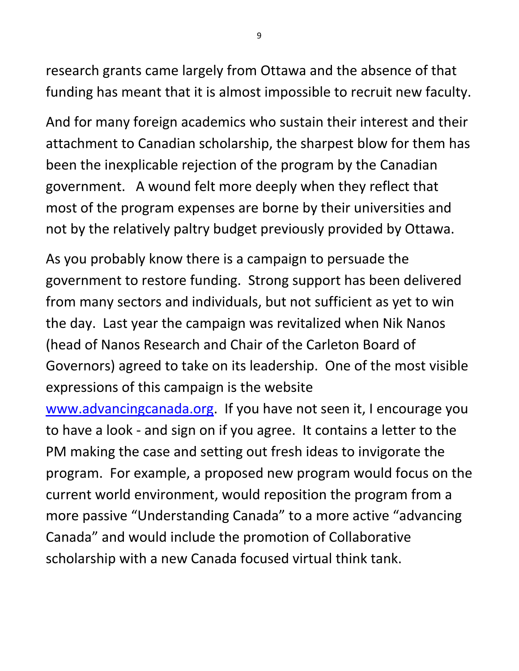research grants came largely from Ottawa and the absence of that funding has meant that it is almost impossible to recruit new faculty.

And for many foreign academics who sustain their interest and their attachment to Canadian scholarship, the sharpest blow for them has been the inexplicable rejection of the program by the Canadian government. A wound felt more deeply when they reflect that most of the program expenses are borne by their universities and not by the relatively paltry budget previously provided by Ottawa.

As you probably know there is a campaign to persuade the government to restore funding. Strong support has been delivered from many sectors and individuals, but not sufficient as yet to win the day. Last year the campaign was revitalized when Nik Nanos (head of Nanos Research and Chair of the Carleton Board of Governors) agreed to take on its leadership. One of the most visible expressions of this campaign is the website

[www.advancingcanada.org.](http://www.advancingcanada.org/) If you have not seen it, I encourage you to have a look - and sign on if you agree. It contains a letter to the PM making the case and setting out fresh ideas to invigorate the program. For example, a proposed new program would focus on the current world environment, would reposition the program from a more passive "Understanding Canada" to a more active "advancing Canada" and would include the promotion of Collaborative scholarship with a new Canada focused virtual think tank.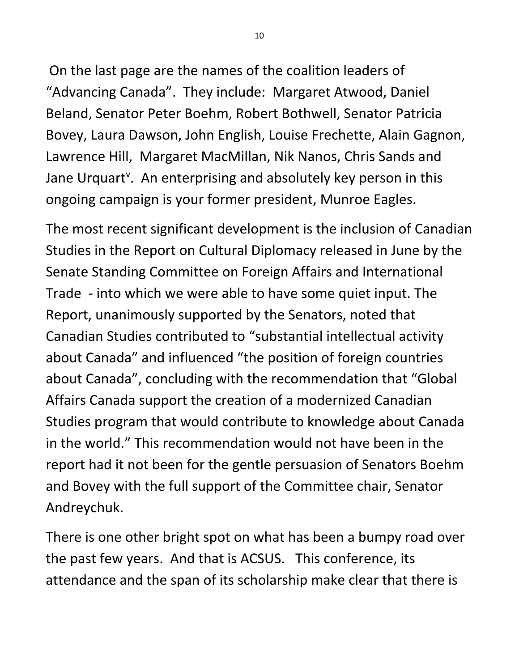On the last page are the names of the coalition leaders of "Advancing Canada". They include: Margaret Atwood, Daniel Beland, Senator Peter Boehm, Robert Bothwell, Senator Patricia Bovey, Laura Dawson, John English, Louise Frechette, Alain Gagnon, Lawrence Hill, Margaret MacMillan, Nik Nanos, Chris Sands and Jane Urquart<sup>v</sup>. An enterprising and absolutely key person in this ongoing campaign is your former president, Munroe Eagles.

The most recent significant development is the inclusion of Canadian Studies in the Report on Cultural Diplomacy released in June by the Senate Standing Committee on Foreign Affairs and International Trade - into which we were able to have some quiet input. The Report, unanimously supported by the Senators, noted that Canadian Studies contributed to "substantial intellectual activity about Canada" and influenced "the position of foreign countries about Canada", concluding with the recommendation that "Global Affairs Canada support the creation of a modernized Canadian Studies program that would contribute to knowledge about Canada in the world." This recommendation would not have been in the report had it not been for the gentle persuasion of Senators Boehm and Bovey with the full support of the Committee chair, Senator Andreychuk.

There is one other bright spot on what has been a bumpy road over the past few years. And that is ACSUS. This conference, its attendance and the span of its scholarship make clear that there is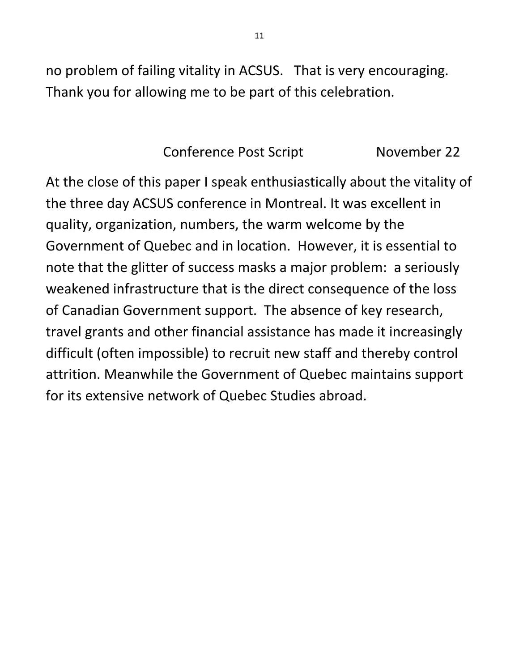no problem of failing vitality in ACSUS. That is very encouraging. Thank you for allowing me to be part of this celebration.

## Conference Post Script November 22

At the close of this paper I speak enthusiastically about the vitality of the three day ACSUS conference in Montreal. It was excellent in quality, organization, numbers, the warm welcome by the Government of Quebec and in location. However, it is essential to note that the glitter of success masks a major problem: a seriously weakened infrastructure that is the direct consequence of the loss of Canadian Government support. The absence of key research, travel grants and other financial assistance has made it increasingly difficult (often impossible) to recruit new staff and thereby control attrition. Meanwhile the Government of Quebec maintains support for its extensive network of Quebec Studies abroad.